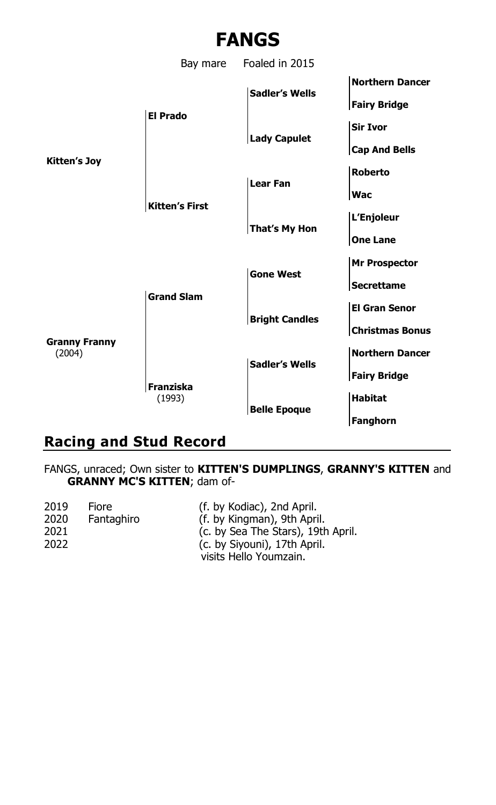

## **Racing and Stud Record**

FANGS, unraced; Own sister to **KITTEN'S DUMPLINGS**, **GRANNY'S KITTEN** and **GRANNY MC'S KITTEN**; dam of-

| 2019 | Fiore      | (f. by Kodiac), 2nd April.         |
|------|------------|------------------------------------|
| 2020 | Fantaghiro | (f. by Kingman), 9th April.        |
| 2021 |            | (c. by Sea The Stars), 19th April. |
| 2022 |            | (c. by Siyouni), 17th April.       |
|      |            | visits Hello Youmzain.             |